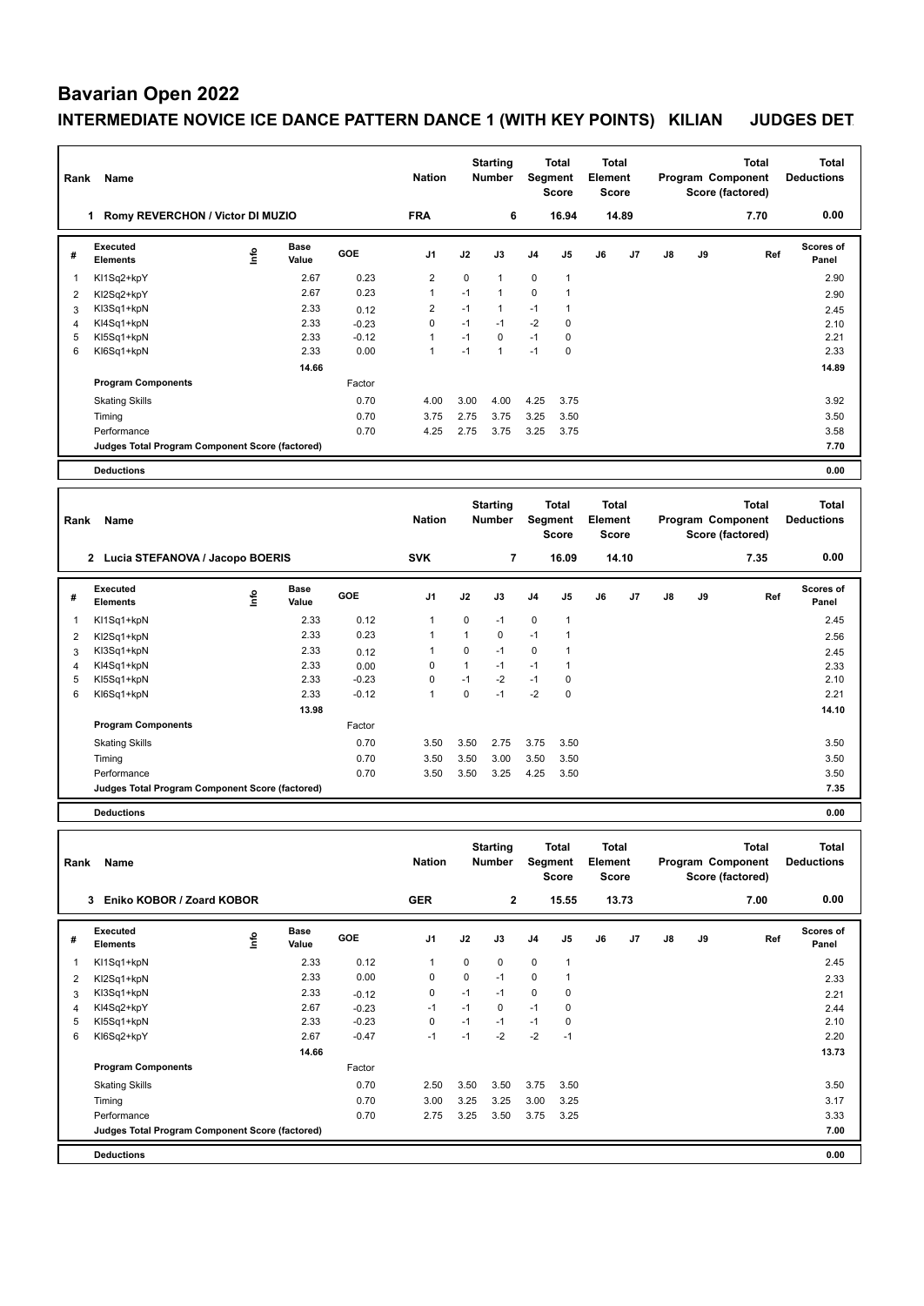# **Bavarian Open 2022**

#### **INTERMEDIATE NOVICE ICE DANCE PATTERN DANCE 1 (WITH KEY POINTS) KILIAN JUDGES DET**

| Rank | Name                                            |      |                      |         | <b>Nation</b>  | <b>Starting</b><br><b>Number</b> |                 | <b>Total</b><br>Segment<br><b>Score</b> |                | <b>Total</b><br>Element<br><b>Score</b> |       | Program Component |    | <b>Total</b><br>Score (factored) | <b>Total</b><br><b>Deductions</b> |  |
|------|-------------------------------------------------|------|----------------------|---------|----------------|----------------------------------|-----------------|-----------------------------------------|----------------|-----------------------------------------|-------|-------------------|----|----------------------------------|-----------------------------------|--|
|      | Romy REVERCHON / Victor DI MUZIO<br>1           |      |                      |         | <b>FRA</b>     |                                  | 6               |                                         | 16.94          |                                         | 14.89 |                   |    | 7.70                             | 0.00                              |  |
| #    | Executed<br><b>Elements</b>                     | lnfo | <b>Base</b><br>Value | GOE     | J <sub>1</sub> | J2                               | J3              | J <sub>4</sub>                          | J <sub>5</sub> | J6                                      | J7    | $\mathsf{J}8$     | J9 | Ref                              | Scores of<br>Panel                |  |
| 1    | KI1Sq2+kpY                                      |      | 2.67                 | 0.23    | $\overline{2}$ | $\Omega$                         | $\mathbf{1}$    | $\mathbf 0$                             | $\overline{1}$ |                                         |       |                   |    |                                  | 2.90                              |  |
| 2    | KI2Sq2+kpY                                      |      | 2.67                 | 0.23    | $\mathbf{1}$   | $-1$                             | $\mathbf{1}$    | 0                                       | $\overline{1}$ |                                         |       |                   |    |                                  | 2.90                              |  |
| 3    | KI3Sq1+kpN                                      |      | 2.33                 | 0.12    | $\overline{2}$ | $-1$                             | $\mathbf{1}$    | $-1$                                    | $\overline{1}$ |                                         |       |                   |    |                                  | 2.45                              |  |
| 4    | KI4Sq1+kpN                                      |      | 2.33                 | $-0.23$ | $\mathbf 0$    | $-1$                             | $-1$            | $-2$                                    | 0              |                                         |       |                   |    |                                  | 2.10                              |  |
| 5    | KI5Sq1+kpN                                      |      | 2.33                 | $-0.12$ | $\overline{1}$ | $-1$                             | $\mathbf 0$     | $-1$                                    | 0              |                                         |       |                   |    |                                  | 2.21                              |  |
| 6    | KI6Sq1+kpN                                      |      | 2.33                 | 0.00    | $\mathbf{1}$   | $-1$                             | $\mathbf{1}$    | $-1$                                    | 0              |                                         |       |                   |    |                                  | 2.33                              |  |
|      |                                                 |      | 14.66                |         |                |                                  |                 |                                         |                |                                         |       |                   |    |                                  | 14.89                             |  |
|      | <b>Program Components</b>                       |      |                      | Factor  |                |                                  |                 |                                         |                |                                         |       |                   |    |                                  |                                   |  |
|      | <b>Skating Skills</b>                           |      |                      | 0.70    | 4.00           | 3.00                             | 4.00            | 4.25                                    | 3.75           |                                         |       |                   |    |                                  | 3.92                              |  |
|      | Timing                                          |      |                      | 0.70    | 3.75           | 2.75                             | 3.75            | 3.25                                    | 3.50           |                                         |       |                   |    |                                  | 3.50                              |  |
|      | Performance                                     |      |                      | 0.70    | 4.25           | 2.75                             | 3.75            | 3.25                                    | 3.75           |                                         |       |                   |    |                                  | 3.58                              |  |
|      | Judges Total Program Component Score (factored) |      |                      |         |                |                                  |                 |                                         |                |                                         |       |                   |    |                                  | 7.70                              |  |
|      | <b>Deductions</b>                               |      |                      |         |                |                                  |                 |                                         |                |                                         |       |                   |    |                                  | 0.00                              |  |
|      |                                                 |      |                      |         |                |                                  | <b>Starting</b> |                                         | <b>Total</b>   | <b>Total</b>                            |       |                   |    | Total                            | <b>Total</b>                      |  |

| Rank           | Name                                            |    |               | <b>Nation</b> |                | Number       | Segment<br>Score |                | Element<br><b>Score</b> |    | Program Component<br>Score (factored) |               |    | <b>Deductions</b> |                           |
|----------------|-------------------------------------------------|----|---------------|---------------|----------------|--------------|------------------|----------------|-------------------------|----|---------------------------------------|---------------|----|-------------------|---------------------------|
|                | 2 Lucia STEFANOVA / Jacopo BOERIS               |    |               |               | <b>SVK</b>     |              | 7                |                | 16.09                   |    | 14.10                                 |               |    | 7.35              | 0.00                      |
| #              | Executed<br><b>Elements</b>                     | ١m | Base<br>Value | <b>GOE</b>    | J <sub>1</sub> | J2           | J3               | J <sub>4</sub> | J <sub>5</sub>          | J6 | J7                                    | $\mathsf{J}8$ | J9 | Ref               | <b>Scores of</b><br>Panel |
| -1             | KI1Sq1+kpN                                      |    | 2.33          | 0.12          |                | 0            | $-1$             | 0              | $\mathbf{1}$            |    |                                       |               |    |                   | 2.45                      |
| 2              | KI2Sq1+kpN                                      |    | 2.33          | 0.23          |                | 1            | 0                | $-1$           | $\mathbf 1$             |    |                                       |               |    |                   | 2.56                      |
| 3              | KI3Sq1+kpN                                      |    | 2.33          | 0.12          |                | 0            | $-1$             | 0              | -1                      |    |                                       |               |    |                   | 2.45                      |
| $\overline{4}$ | KI4Sq1+kpN                                      |    | 2.33          | 0.00          | 0              | $\mathbf{1}$ | $-1$             | $-1$           | $\mathbf 1$             |    |                                       |               |    |                   | 2.33                      |
| 5              | KI5Sq1+kpN                                      |    | 2.33          | $-0.23$       | $\Omega$       | $-1$         | $-2$             | $-1$           | 0                       |    |                                       |               |    |                   | 2.10                      |
| 6              | KI6Sq1+kpN                                      |    | 2.33          | $-0.12$       |                | 0            | $-1$             | $-2$           | 0                       |    |                                       |               |    |                   | 2.21                      |
|                |                                                 |    | 13.98         |               |                |              |                  |                |                         |    |                                       |               |    |                   | 14.10                     |
|                | <b>Program Components</b>                       |    |               | Factor        |                |              |                  |                |                         |    |                                       |               |    |                   |                           |
|                | <b>Skating Skills</b>                           |    |               | 0.70          | 3.50           | 3.50         | 2.75             | 3.75           | 3.50                    |    |                                       |               |    |                   | 3.50                      |
|                | Timing                                          |    |               | 0.70          | 3.50           | 3.50         | 3.00             | 3.50           | 3.50                    |    |                                       |               |    |                   | 3.50                      |
|                | Performance                                     |    |               | 0.70          | 3.50           | 3.50         | 3.25             | 4.25           | 3.50                    |    |                                       |               |    |                   | 3.50                      |
|                | Judges Total Program Component Score (factored) |    |               |               |                |              |                  |                |                         |    |                                       |               |    |                   | 7.35                      |
|                | <b>Deductions</b>                               |    |               |               |                |              |                  |                |                         |    |                                       |               |    |                   | 0.00                      |

**Total Deductions Total Program Component Score (factored) Total Element Score Total Segment Score Starting Rank Name Nation Number # Executed Elements Base Value GOE J1 J2 J3 J4 J5 J6 J7 J8 J9 Scores of Panel** 1  $K11Sq1+kpN$  2.33 0.12 1 0 0 0 1 **Ref**  KI1Sq1+kpN 2.45 **Info 3 Eniko KOBOR / Zoard KOBOR GER 2 15.55 13.73 7.00 0.00** 2 KI2Sq1+kpN 2.33 0.00 0 0 -1 0 1 2.33 3 KI3Sq1+kpN 2.33 -0.12 0 -1 -1 0 0 2.21 4 KI4Sq2+kpY 2.67 -0.23 -1 -1 0 -1 0 2.44 5 KI5Sq1+kpN 2.33 -0.23 0 -1 -1 -1 0 2.10 6 KI6Sq2+kpY 2.67 -0.47 -1 -1 -2 -2 -1 2.20  **14.66 13.73 Program Components**  Skating Skills 2.50 3.50 3.50 3.75 3.50 0.70 3.50 Factor Timing 0.70 3.00 3.25 3.25 3.00 3.25 3.17 Performance 0.70 2.75 3.25 3.50 3.75 3.25 3.33 **Deductions 0.00 Judges Total Program Component Score (factored) 7.00**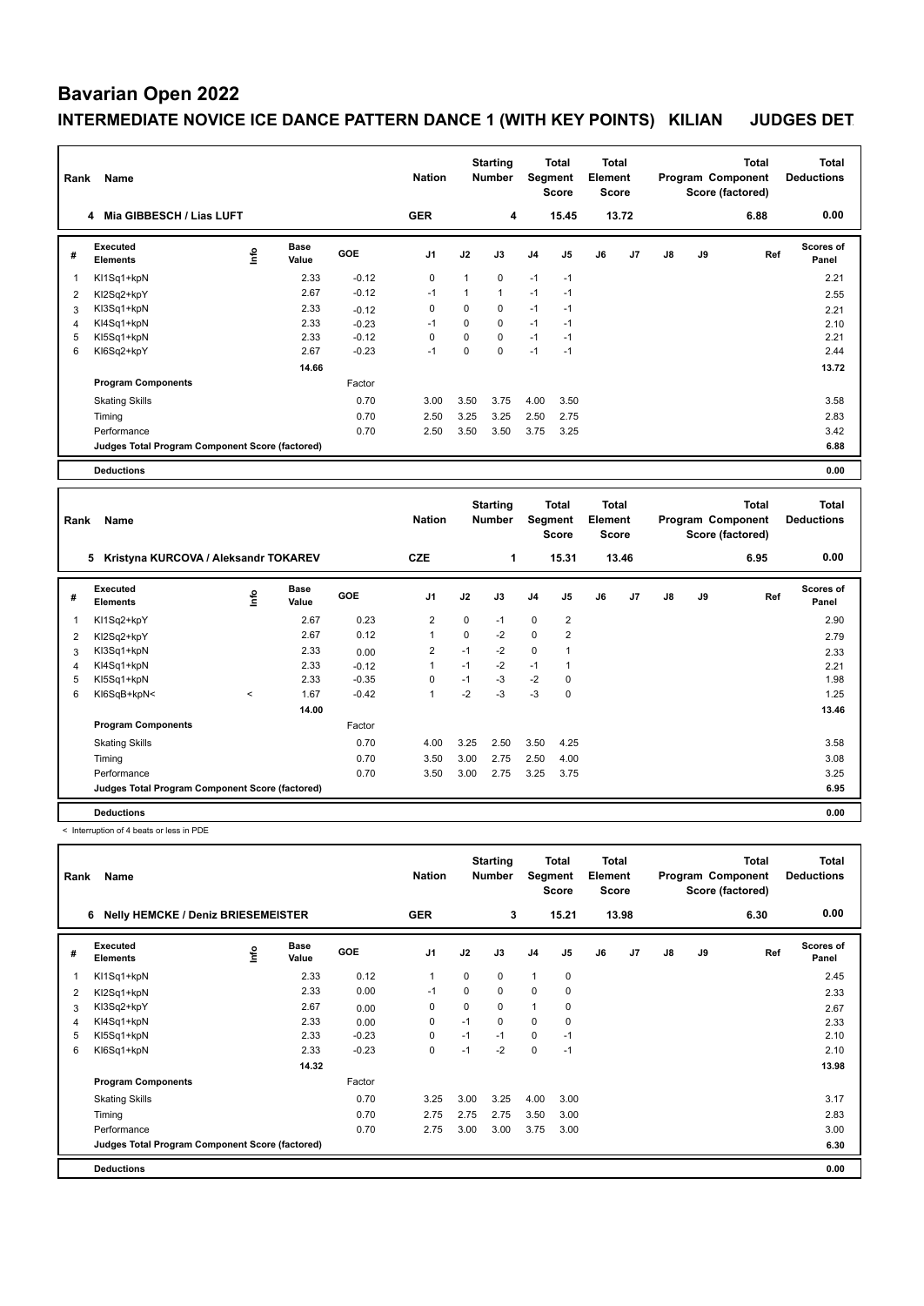#### **Bavarian Open 2022**

## **INTERMEDIATE NOVICE ICE DANCE PATTERN DANCE 1 (WITH KEY POINTS) KILIAN JUDGES DET**

| Rank | Name                                            |      |                      |            | <b>Nation</b>  |      | <b>Starting</b><br>Number | Segment        | <b>Total</b><br><b>Score</b> | <b>Total</b><br>Element<br><b>Score</b> |       |    |    | <b>Total</b><br>Program Component<br>Score (factored) | <b>Total</b><br><b>Deductions</b> |
|------|-------------------------------------------------|------|----------------------|------------|----------------|------|---------------------------|----------------|------------------------------|-----------------------------------------|-------|----|----|-------------------------------------------------------|-----------------------------------|
|      | 4 Mia GIBBESCH / Lias LUFT                      |      |                      |            | <b>GER</b>     |      | 4                         |                | 15.45                        |                                         | 13.72 |    |    | 6.88                                                  | 0.00                              |
| #    | Executed<br><b>Elements</b>                     | ١nfo | <b>Base</b><br>Value | <b>GOE</b> | J <sub>1</sub> | J2   | J3                        | J <sub>4</sub> | J <sub>5</sub>               | J6                                      | J7    | J8 | J9 | Ref                                                   | Scores of<br>Panel                |
| 1    | KI1Sq1+kpN                                      |      | 2.33                 | $-0.12$    | 0              | 1    | $\Omega$                  | $-1$           | $-1$                         |                                         |       |    |    |                                                       | 2.21                              |
| 2    | KI2Sq2+kpY                                      |      | 2.67                 | $-0.12$    | $-1$           | 1    | $\mathbf{1}$              | $-1$           | $-1$                         |                                         |       |    |    |                                                       | 2.55                              |
| 3    | KI3Sq1+kpN                                      |      | 2.33                 | $-0.12$    | 0              | 0    | 0                         | $-1$           | $-1$                         |                                         |       |    |    |                                                       | 2.21                              |
| 4    | KI4Sq1+kpN                                      |      | 2.33                 | $-0.23$    | $-1$           | 0    | 0                         | $-1$           | $-1$                         |                                         |       |    |    |                                                       | 2.10                              |
| 5    | KI5Sq1+kpN                                      |      | 2.33                 | $-0.12$    | $\mathbf 0$    | 0    | 0                         | $-1$           | $-1$                         |                                         |       |    |    |                                                       | 2.21                              |
| 6    | KI6Sq2+kpY                                      |      | 2.67                 | $-0.23$    | $-1$           | 0    | 0                         | $-1$           | $-1$                         |                                         |       |    |    |                                                       | 2.44                              |
|      |                                                 |      | 14.66                |            |                |      |                           |                |                              |                                         |       |    |    |                                                       | 13.72                             |
|      | <b>Program Components</b>                       |      |                      | Factor     |                |      |                           |                |                              |                                         |       |    |    |                                                       |                                   |
|      | <b>Skating Skills</b>                           |      |                      | 0.70       | 3.00           | 3.50 | 3.75                      | 4.00           | 3.50                         |                                         |       |    |    |                                                       | 3.58                              |
|      | Timing                                          |      |                      | 0.70       | 2.50           | 3.25 | 3.25                      | 2.50           | 2.75                         |                                         |       |    |    |                                                       | 2.83                              |
|      | Performance                                     |      |                      | 0.70       | 2.50           | 3.50 | 3.50                      | 3.75           | 3.25                         |                                         |       |    |    |                                                       | 3.42                              |
|      | Judges Total Program Component Score (factored) |      |                      |            |                |      |                           |                |                              |                                         |       |    |    |                                                       | 6.88                              |
|      | <b>Deductions</b>                               |      |                      |            |                |      |                           |                |                              |                                         |       |    |    |                                                       | 0.00                              |

|                         | Name<br>Rank                                    |         |                      |            |                |      | <b>Starting</b><br><b>Number</b> | <b>Total</b><br>Segment<br>Score |                | Total<br>Element<br>Score |       | <b>Total</b><br>Program Component<br>Score (factored) |    |      | <b>Total</b><br><b>Deductions</b> |
|-------------------------|-------------------------------------------------|---------|----------------------|------------|----------------|------|----------------------------------|----------------------------------|----------------|---------------------------|-------|-------------------------------------------------------|----|------|-----------------------------------|
|                         | Kristyna KURCOVA / Aleksandr TOKAREV<br>5       |         |                      |            | <b>CZE</b>     |      | 1                                |                                  | 15.31          |                           | 13.46 |                                                       |    | 6.95 | 0.00                              |
| #                       | Executed<br><b>Elements</b>                     | ١m      | <b>Base</b><br>Value | <b>GOE</b> | J <sub>1</sub> | J2   | J3                               | J <sub>4</sub>                   | J <sub>5</sub> | J6                        | J7    | $\mathsf{J}8$                                         | J9 | Ref  | <b>Scores of</b><br>Panel         |
| $\overline{\mathbf{1}}$ | KI1Sq2+kpY                                      |         | 2.67                 | 0.23       | $\overline{2}$ | 0    | $-1$                             | $\mathbf 0$                      | $\overline{2}$ |                           |       |                                                       |    |      | 2.90                              |
| $\overline{2}$          | KI2Sq2+kpY                                      |         | 2.67                 | 0.12       | 1              | 0    | $-2$                             | $\mathbf 0$                      | $\overline{2}$ |                           |       |                                                       |    |      | 2.79                              |
| 3                       | KI3Sq1+kpN                                      |         | 2.33                 | 0.00       | 2              | $-1$ | $-2$                             | 0                                | ٠              |                           |       |                                                       |    |      | 2.33                              |
| $\overline{4}$          | KI4Sq1+kpN                                      |         | 2.33                 | $-0.12$    | 1              | $-1$ | $-2$                             | $-1$                             | 1              |                           |       |                                                       |    |      | 2.21                              |
| 5                       | KI5Sq1+kpN                                      |         | 2.33                 | $-0.35$    | $\Omega$       | $-1$ | $-3$                             | $-2$                             | $\Omega$       |                           |       |                                                       |    |      | 1.98                              |
| 6                       | KI6SqB+kpN<                                     | $\prec$ | 1.67                 | $-0.42$    | 1              | $-2$ | $-3$                             | $-3$                             | $\mathbf 0$    |                           |       |                                                       |    |      | 1.25                              |
|                         |                                                 |         | 14.00                |            |                |      |                                  |                                  |                |                           |       |                                                       |    |      | 13.46                             |
|                         | <b>Program Components</b>                       |         |                      | Factor     |                |      |                                  |                                  |                |                           |       |                                                       |    |      |                                   |
|                         | <b>Skating Skills</b>                           |         |                      | 0.70       | 4.00           | 3.25 | 2.50                             | 3.50                             | 4.25           |                           |       |                                                       |    |      | 3.58                              |
|                         | Timing                                          |         |                      | 0.70       | 3.50           | 3.00 | 2.75                             | 2.50                             | 4.00           |                           |       |                                                       |    |      | 3.08                              |
|                         | Performance                                     |         |                      | 0.70       | 3.50           | 3.00 | 2.75                             | 3.25                             | 3.75           |                           |       |                                                       |    |      | 3.25                              |
|                         | Judges Total Program Component Score (factored) |         |                      |            |                |      |                                  |                                  |                |                           |       |                                                       |    |      | 6.95                              |
|                         | <b>Deductions</b>                               |         |                      |            |                |      |                                  |                                  |                |                           |       |                                                       |    |      | 0.00                              |

< Interruption of 4 beats or less in PDE

| Rank           | Name                                            |      |                      |            | <b>Nation</b>  |          | <b>Starting</b><br><b>Number</b> |                | Total<br>Segment<br><b>Score</b> | <b>Total</b><br>Element<br><b>Score</b> |       |               |    | <b>Total</b><br>Program Component<br>Score (factored) | <b>Total</b><br><b>Deductions</b> |
|----------------|-------------------------------------------------|------|----------------------|------------|----------------|----------|----------------------------------|----------------|----------------------------------|-----------------------------------------|-------|---------------|----|-------------------------------------------------------|-----------------------------------|
|                | <b>Nelly HEMCKE / Deniz BRIESEMEISTER</b><br>6  |      |                      |            | <b>GER</b>     |          | 3                                |                | 15.21                            |                                         | 13.98 |               |    | 6.30                                                  | 0.00                              |
| #              | Executed<br><b>Elements</b>                     | lnfo | <b>Base</b><br>Value | <b>GOE</b> | J <sub>1</sub> | J2       | J3                               | J <sub>4</sub> | J <sub>5</sub>                   | J6                                      | J7    | $\mathsf{J}8$ | J9 | Ref                                                   | <b>Scores of</b><br>Panel         |
|                | KI1Sq1+kpN                                      |      | 2.33                 | 0.12       | $\mathbf{1}$   | 0        | 0                                | $\mathbf{1}$   | 0                                |                                         |       |               |    |                                                       | 2.45                              |
| 2              | KI2Sq1+kpN                                      |      | 2.33                 | 0.00       | $-1$           | $\Omega$ | 0                                | $\mathbf 0$    | 0                                |                                         |       |               |    |                                                       | 2.33                              |
| 3              | KI3Sq2+kpY                                      |      | 2.67                 | 0.00       | 0              | 0        | 0                                | $\mathbf{1}$   | 0                                |                                         |       |               |    |                                                       | 2.67                              |
| $\overline{4}$ | KI4Sq1+kpN                                      |      | 2.33                 | 0.00       | 0              | $-1$     | 0                                | $\mathbf 0$    | 0                                |                                         |       |               |    |                                                       | 2.33                              |
| 5              | KI5Sq1+kpN                                      |      | 2.33                 | $-0.23$    | 0              | $-1$     | $-1$                             | 0              | $-1$                             |                                         |       |               |    |                                                       | 2.10                              |
| 6              | KI6Sq1+kpN                                      |      | 2.33                 | $-0.23$    | $\mathbf 0$    | $-1$     | $-2$                             | $\mathbf 0$    | $-1$                             |                                         |       |               |    |                                                       | 2.10                              |
|                |                                                 |      | 14.32                |            |                |          |                                  |                |                                  |                                         |       |               |    |                                                       | 13.98                             |
|                | <b>Program Components</b>                       |      |                      | Factor     |                |          |                                  |                |                                  |                                         |       |               |    |                                                       |                                   |
|                | <b>Skating Skills</b>                           |      |                      | 0.70       | 3.25           | 3.00     | 3.25                             | 4.00           | 3.00                             |                                         |       |               |    |                                                       | 3.17                              |
|                | Timing                                          |      |                      | 0.70       | 2.75           | 2.75     | 2.75                             | 3.50           | 3.00                             |                                         |       |               |    |                                                       | 2.83                              |
|                | Performance                                     |      |                      | 0.70       | 2.75           | 3.00     | 3.00                             | 3.75           | 3.00                             |                                         |       |               |    |                                                       | 3.00                              |
|                | Judges Total Program Component Score (factored) |      |                      |            |                |          |                                  |                |                                  |                                         |       |               |    |                                                       | 6.30                              |
|                | <b>Deductions</b>                               |      |                      |            |                |          |                                  |                |                                  |                                         |       |               |    |                                                       | 0.00                              |